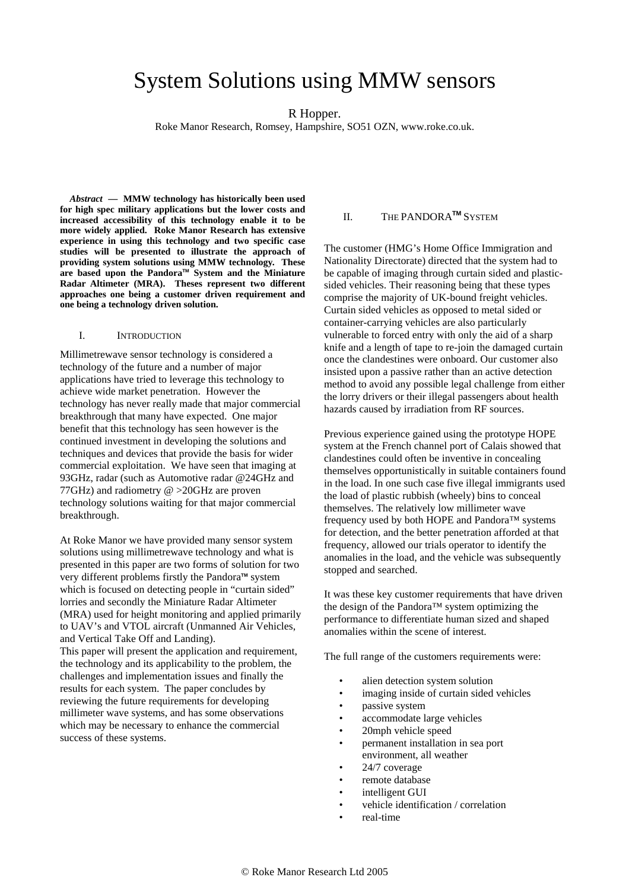# System Solutions using MMW sensors

### R Hopper.

Roke Manor Research, Romsey, Hampshire, SO51 OZN, www.roke.co.uk.

*Abstract* **— MMW technology has historically been used for high spec military applications but the lower costs and increased accessibility of this technology enable it to be more widely applied. Roke Manor Research has extensive experience in using this technology and two specific case studies will be presented to illustrate the approach of providing system solutions using MMW technology. These are based upon the PandoraTM System and the Miniature Radar Altimeter (MRA). Theses represent two different approaches one being a customer driven requirement and one being a technology driven solution.** 

#### I. INTRODUCTION

Millimetrewave sensor technology is considered a technology of the future and a number of major applications have tried to leverage this technology to achieve wide market penetration. However the technology has never really made that major commercial breakthrough that many have expected. One major benefit that this technology has seen however is the continued investment in developing the solutions and techniques and devices that provide the basis for wider commercial exploitation. We have seen that imaging at 93GHz, radar (such as Automotive radar @24GHz and 77GHz) and radiometry @ >20GHz are proven technology solutions waiting for that major commercial breakthrough.

At Roke Manor we have provided many sensor system solutions using millimetrewave technology and what is presented in this paper are two forms of solution for two very different problems firstly the Pandora<sup>™</sup> system which is focused on detecting people in "curtain sided" lorries and secondly the Miniature Radar Altimeter (MRA) used for height monitoring and applied primarily to UAV's and VTOL aircraft (Unmanned Air Vehicles, and Vertical Take Off and Landing).

This paper will present the application and requirement, the technology and its applicability to the problem, the challenges and implementation issues and finally the results for each system. The paper concludes by reviewing the future requirements for developing millimeter wave systems, and has some observations which may be necessary to enhance the commercial success of these systems.

## II. THE PANDORA**TM** SYSTEM

The customer (HMG's Home Office Immigration and Nationality Directorate) directed that the system had to be capable of imaging through curtain sided and plasticsided vehicles. Their reasoning being that these types comprise the majority of UK-bound freight vehicles. Curtain sided vehicles as opposed to metal sided or container-carrying vehicles are also particularly vulnerable to forced entry with only the aid of a sharp knife and a length of tape to re-join the damaged curtain once the clandestines were onboard. Our customer also insisted upon a passive rather than an active detection method to avoid any possible legal challenge from either the lorry drivers or their illegal passengers about health hazards caused by irradiation from RF sources.

Previous experience gained using the prototype HOPE system at the French channel port of Calais showed that clandestines could often be inventive in concealing themselves opportunistically in suitable containers found in the load. In one such case five illegal immigrants used the load of plastic rubbish (wheely) bins to conceal themselves. The relatively low millimeter wave frequency used by both HOPE and Pandora™ systems for detection, and the better penetration afforded at that frequency, allowed our trials operator to identify the anomalies in the load, and the vehicle was subsequently stopped and searched.

It was these key customer requirements that have driven the design of the Pandora™ system optimizing the performance to differentiate human sized and shaped anomalies within the scene of interest.

The full range of the customers requirements were:

- alien detection system solution
- imaging inside of curtain sided vehicles
- passive system
- accommodate large vehicles
- 20mph vehicle speed
- permanent installation in sea port environment, all weather
- 24/7 coverage
- remote database
- intelligent GUI
- vehicle identification / correlation
- real-time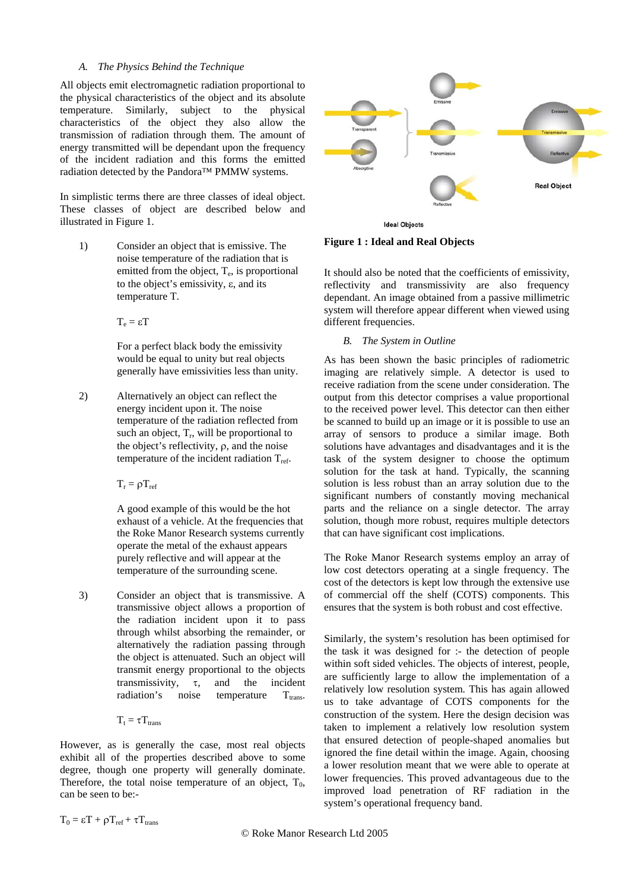#### *A. The Physics Behind the Technique*

All objects emit electromagnetic radiation proportional to the physical characteristics of the object and its absolute temperature. Similarly, subject to the physical characteristics of the object they also allow the transmission of radiation through them. The amount of energy transmitted will be dependant upon the frequency of the incident radiation and this forms the emitted radiation detected by the Pandora™ PMMW systems.

In simplistic terms there are three classes of ideal object. These classes of object are described below and illustrated in Figure 1.

1) Consider an object that is emissive. The noise temperature of the radiation that is emitted from the object,  $T_e$ , is proportional to the object's emissivity, ε, and its temperature T.

 $T_e = \varepsilon T$ 

For a perfect black body the emissivity would be equal to unity but real objects generally have emissivities less than unity.

2) Alternatively an object can reflect the energy incident upon it. The noise temperature of the radiation reflected from such an object,  $T_r$ , will be proportional to the object's reflectivity, ρ, and the noise temperature of the incident radiation  $T_{ref.}$ 

 $T_r = \rho T_{ref}$ 

A good example of this would be the hot exhaust of a vehicle. At the frequencies that the Roke Manor Research systems currently operate the metal of the exhaust appears purely reflective and will appear at the temperature of the surrounding scene.

3) Consider an object that is transmissive. A transmissive object allows a proportion of the radiation incident upon it to pass through whilst absorbing the remainder, or alternatively the radiation passing through the object is attenuated. Such an object will transmit energy proportional to the objects transmissivity,  $\tau$ , and the incident radiation's noise temperature  $T_{trans}$ .

$$
T_t = \tau T_{trans}
$$

However, as is generally the case, most real objects exhibit all of the properties described above to some degree, though one property will generally dominate. Therefore, the total noise temperature of an object,  $T_0$ , can be seen to be:-



**Figure 1 : Ideal and Real Objects** 

It should also be noted that the coefficients of emissivity, reflectivity and transmissivity are also frequency dependant. An image obtained from a passive millimetric system will therefore appear different when viewed using different frequencies.

#### *B. The System in Outline*

As has been shown the basic principles of radiometric imaging are relatively simple. A detector is used to receive radiation from the scene under consideration. The output from this detector comprises a value proportional to the received power level. This detector can then either be scanned to build up an image or it is possible to use an array of sensors to produce a similar image. Both solutions have advantages and disadvantages and it is the task of the system designer to choose the optimum solution for the task at hand. Typically, the scanning solution is less robust than an array solution due to the significant numbers of constantly moving mechanical parts and the reliance on a single detector. The array solution, though more robust, requires multiple detectors that can have significant cost implications.

The Roke Manor Research systems employ an array of low cost detectors operating at a single frequency. The cost of the detectors is kept low through the extensive use of commercial off the shelf (COTS) components. This ensures that the system is both robust and cost effective.

Similarly, the system's resolution has been optimised for the task it was designed for :- the detection of people within soft sided vehicles. The objects of interest, people, are sufficiently large to allow the implementation of a relatively low resolution system. This has again allowed us to take advantage of COTS components for the construction of the system. Here the design decision was taken to implement a relatively low resolution system that ensured detection of people-shaped anomalies but ignored the fine detail within the image. Again, choosing a lower resolution meant that we were able to operate at lower frequencies. This proved advantageous due to the improved load penetration of RF radiation in the system's operational frequency band.

 $T_0 = \varepsilon T + \rho T_{\text{ref}} + \tau T_{\text{trans}}$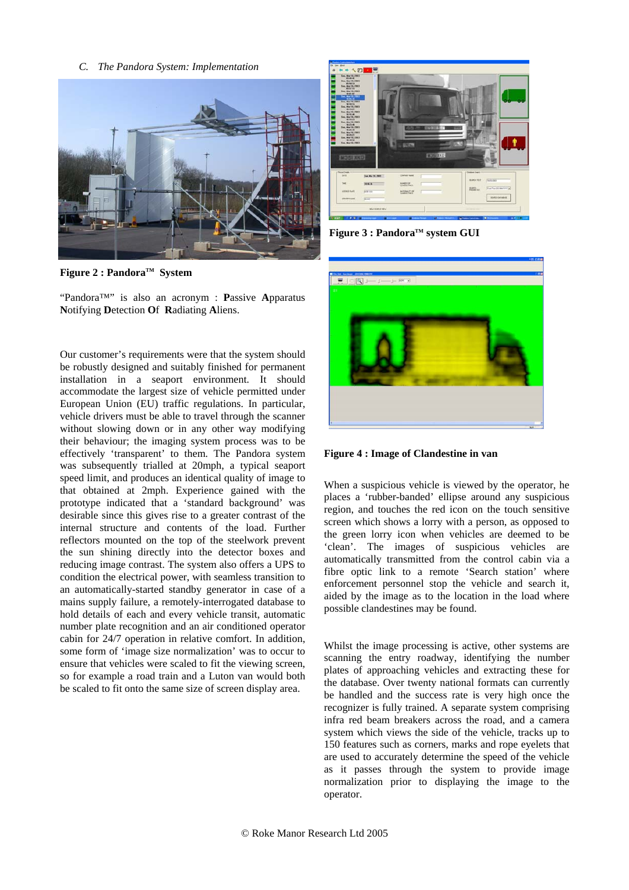*C. The Pandora System: Implementation* 



Figure 2 : Pandora<sup>™</sup> System

"Pandora™" is also an acronym : **P**assive **A**pparatus **N**otifying **D**etection **O**f **R**adiating **A**liens.

Our customer's requirements were that the system should be robustly designed and suitably finished for permanent installation in a seaport environment. It should accommodate the largest size of vehicle permitted under European Union (EU) traffic regulations. In particular, vehicle drivers must be able to travel through the scanner without slowing down or in any other way modifying their behaviour; the imaging system process was to be effectively 'transparent' to them. The Pandora system was subsequently trialled at 20mph, a typical seaport speed limit, and produces an identical quality of image to that obtained at 2mph. Experience gained with the prototype indicated that a 'standard background' was desirable since this gives rise to a greater contrast of the internal structure and contents of the load. Further reflectors mounted on the top of the steelwork prevent the sun shining directly into the detector boxes and reducing image contrast. The system also offers a UPS to condition the electrical power, with seamless transition to an automatically-started standby generator in case of a mains supply failure, a remotely-interrogated database to hold details of each and every vehicle transit, automatic number plate recognition and an air conditioned operator cabin for 24/7 operation in relative comfort. In addition, some form of 'image size normalization' was to occur to ensure that vehicles were scaled to fit the viewing screen, so for example a road train and a Luton van would both be scaled to fit onto the same size of screen display area.



**Figure 3 : PandoraTM system GUI** 



**Figure 4 : Image of Clandestine in van** 

When a suspicious vehicle is viewed by the operator, he places a 'rubber-banded' ellipse around any suspicious region, and touches the red icon on the touch sensitive screen which shows a lorry with a person, as opposed to the green lorry icon when vehicles are deemed to be 'clean'. The images of suspicious vehicles are automatically transmitted from the control cabin via a fibre optic link to a remote 'Search station' where enforcement personnel stop the vehicle and search it, aided by the image as to the location in the load where possible clandestines may be found.

Whilst the image processing is active, other systems are scanning the entry roadway, identifying the number plates of approaching vehicles and extracting these for the database. Over twenty national formats can currently be handled and the success rate is very high once the recognizer is fully trained. A separate system comprising infra red beam breakers across the road, and a camera system which views the side of the vehicle, tracks up to 150 features such as corners, marks and rope eyelets that are used to accurately determine the speed of the vehicle as it passes through the system to provide image normalization prior to displaying the image to the operator.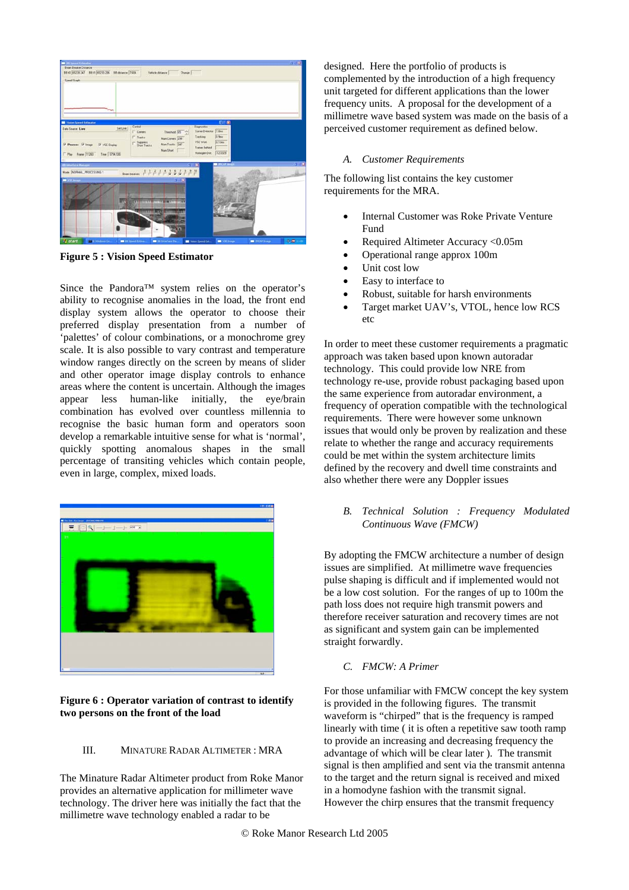| <b>ME All Spread Education</b>                                                    |                                                                                                                                                              |                                                                   | $-100$                         |
|-----------------------------------------------------------------------------------|--------------------------------------------------------------------------------------------------------------------------------------------------------------|-------------------------------------------------------------------|--------------------------------|
| <b>Bean Breaker Distance</b><br>89 (0 65229 247 BB (1 65230 206 BB deteries 7.604 | Vehicle distance<br>Darge <sup>T</sup>                                                                                                                       |                                                                   |                                |
|                                                                                   |                                                                                                                                                              |                                                                   |                                |
| Speed Graph<br><b>Thus</b>                                                        |                                                                                                                                                              |                                                                   |                                |
| <b>M</b> Vision Speed Estimator                                                   |                                                                                                                                                              | 向<br>×                                                            |                                |
| Set Live<br>Data Source: Live                                                     | Control<br>Threshold 65<br>IT Cones<br>$\Gamma$ Tracks<br>Nun Corvers 299                                                                                    | <b>Diagnostics</b><br>Comer Detector 7.0mg<br>10 Sere<br>Tracking |                                |
| V Process V image<br>W VSE Direkty<br>Time 5794.500<br>IT Play Frame (11263)      | Suppress<br>Short Tracks<br>Nun Tracks [347]<br>Num Short                                                                                                    | (0.13m)<br>VSE twick<br>France behind<br>42,0329<br>Honogen Dist. |                                |
| <b>Carteriaca Manager</b>                                                         |                                                                                                                                                              | <b>THIOPIN</b>                                                    | <b>ALCOHOL:</b>                |
| Mode NORMAL PROCESSING 1<br><b>WE STATISTICS</b><br>m                             | Bembesien $P$ $P$ $P$ $P$ $P$ $S$ $S$ $S$ $P$ $P$ $P$<br>$3 - 10$<br><b>CALLER AND</b><br><b>WELL IN EXTRACTLY</b><br><b>STATISTICS</b><br><b>STATISTICS</b> |                                                                   |                                |
| <b>It</b> start<br><b>EX 5 windows Co.</b>                                        | <b>EXCESSION</b><br><b>CONTRACTOR</b>                                                                                                                        | <b>M</b> Vit Inap<br>Wikim Speed Est.                             | 9週110<br><b>BE DIGN Strape</b> |

**Figure 5 : Vision Speed Estimator** 

Since the Pandora™ system relies on the operator's ability to recognise anomalies in the load, the front end display system allows the operator to choose their preferred display presentation from a number of 'palettes' of colour combinations, or a monochrome grey scale. It is also possible to vary contrast and temperature window ranges directly on the screen by means of slider and other operator image display controls to enhance areas where the content is uncertain. Although the images appear less human-like initially, the eye/brain combination has evolved over countless millennia to recognise the basic human form and operators soon develop a remarkable intuitive sense for what is 'normal', quickly spotting anomalous shapes in the small percentage of transiting vehicles which contain people, even in large, complex, mixed loads.



**Figure 6 : Operator variation of contrast to identify two persons on the front of the load** 

#### III. MINATURE RADAR ALTIMETER : MRA

The Minature Radar Altimeter product from Roke Manor provides an alternative application for millimeter wave technology. The driver here was initially the fact that the millimetre wave technology enabled a radar to be

designed. Here the portfolio of products is complemented by the introduction of a high frequency unit targeted for different applications than the lower frequency units. A proposal for the development of a millimetre wave based system was made on the basis of a perceived customer requirement as defined below.

#### *A. Customer Requirements*

The following list contains the key customer requirements for the MRA.

- Internal Customer was Roke Private Venture Fund
- Required Altimeter Accuracy <0.05m
- Operational range approx 100m
- Unit cost low
- Easy to interface to
- Robust, suitable for harsh environments
- Target market UAV's, VTOL, hence low RCS etc

In order to meet these customer requirements a pragmatic approach was taken based upon known autoradar technology. This could provide low NRE from technology re-use, provide robust packaging based upon the same experience from autoradar environment, a frequency of operation compatible with the technological requirements. There were however some unknown issues that would only be proven by realization and these relate to whether the range and accuracy requirements could be met within the system architecture limits defined by the recovery and dwell time constraints and also whether there were any Doppler issues

*B. Technical Solution : Frequency Modulated Continuous Wave (FMCW)* 

By adopting the FMCW architecture a number of design issues are simplified. At millimetre wave frequencies pulse shaping is difficult and if implemented would not be a low cost solution. For the ranges of up to 100m the path loss does not require high transmit powers and therefore receiver saturation and recovery times are not as significant and system gain can be implemented straight forwardly.

*C. FMCW: A Primer* 

For those unfamiliar with FMCW concept the key system is provided in the following figures. The transmit waveform is "chirped" that is the frequency is ramped linearly with time ( it is often a repetitive saw tooth ramp to provide an increasing and decreasing frequency the advantage of which will be clear later ). The transmit signal is then amplified and sent via the transmit antenna to the target and the return signal is received and mixed in a homodyne fashion with the transmit signal. However the chirp ensures that the transmit frequency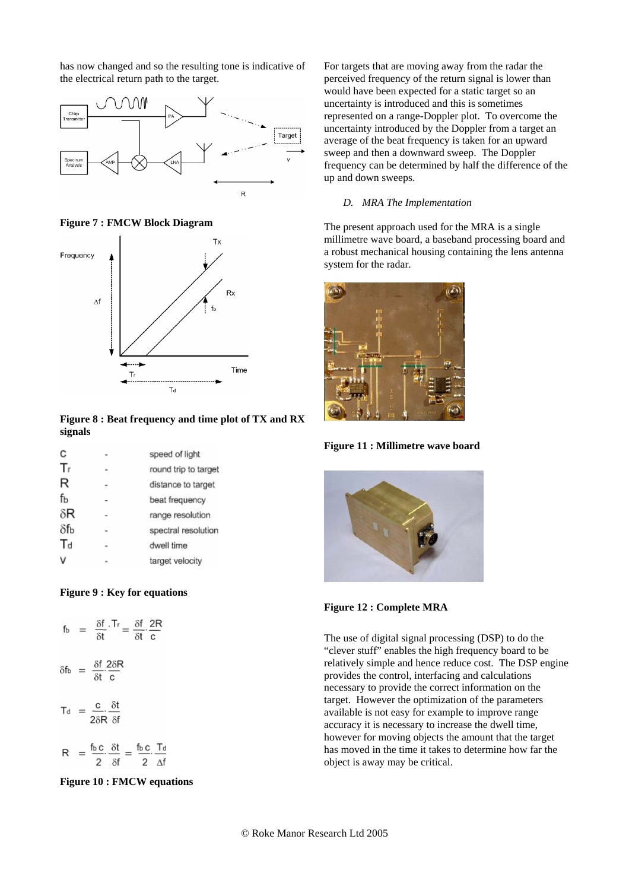has now changed and so the resulting tone is indicative of the electrical return path to the target.



**Figure 7 : FMCW Block Diagram** 



**Figure 8 : Beat frequency and time plot of TX and RX signals** 

| C   | speed of light       |
|-----|----------------------|
| Тr  | round trip to target |
| R   | distance to target   |
| fь  | beat frequency       |
| δR  | range resolution     |
| δfь | spectral resolution  |
| Td  | dwell time           |
|     | target velocity      |

#### **Figure 9 : Key for equations**

$$
f_b = \frac{\delta f}{\delta t} \cdot Tr = \frac{\delta f}{\delta t} \cdot \frac{2R}{c}
$$

$$
\delta f_b = \frac{\delta f}{\delta t} \frac{2\delta R}{c}
$$

$$
T_d = \frac{c}{2\delta R} \cdot \frac{\delta t}{\delta f}
$$

$$
R = \frac{f_{b\,C}}{2} \cdot \frac{\delta t}{\delta f} = \frac{f_{b\,C}}{2} \cdot \frac{T_{d}}{\Delta f}
$$

**Figure 10 : FMCW equations** 

For targets that are moving away from the radar the perceived frequency of the return signal is lower than would have been expected for a static target so an uncertainty is introduced and this is sometimes represented on a range-Doppler plot. To overcome the uncertainty introduced by the Doppler from a target an average of the beat frequency is taken for an upward sweep and then a downward sweep. The Doppler frequency can be determined by half the difference of the up and down sweeps.

## *D. MRA The Implementation*

The present approach used for the MRA is a single millimetre wave board, a baseband processing board and a robust mechanical housing containing the lens antenna system for the radar.



**Figure 11 : Millimetre wave board** 



**Figure 12 : Complete MRA** 

The use of digital signal processing (DSP) to do the "clever stuff" enables the high frequency board to be relatively simple and hence reduce cost. The DSP engine provides the control, interfacing and calculations necessary to provide the correct information on the target. However the optimization of the parameters available is not easy for example to improve range accuracy it is necessary to increase the dwell time, however for moving objects the amount that the target has moved in the time it takes to determine how far the object is away may be critical.